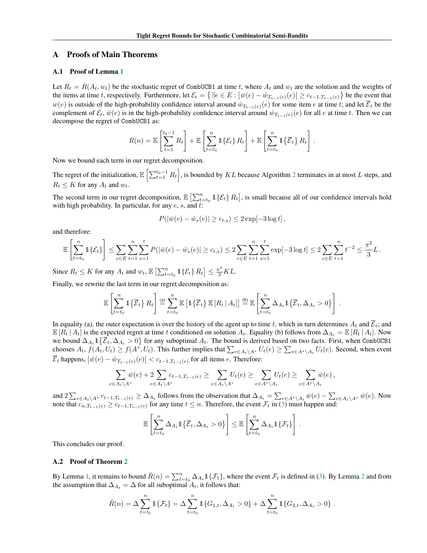# A Proofs of Main Theorems

#### A.1 Proof of Lemma 1

Let  $R_t = R(A_t, w_t)$  be the stochastic regret of CombUCB1 at time *t*, where  $A_t$  and  $w_t$  are the solution and the weights of the items at time t, respectively. Furthermore, let  $\mathcal{E}_t = \{ \exists e \in E : |\bar{w}(e) - \hat{w}_{T_{t-1}(e)}(e)| \ge c_{t-1,T_{t-1}(e)} \}$  be the event that  $\bar{w}(e)$  is outside of the high-probability confidence interval around  $\hat{w}_{T_{t-1}(e)}(e)$  for some item *e* at time *t*; and let  $\overline{\mathcal{E}}_t$  be the complement of  $\mathcal{E}_t$ ,  $\bar{w}(e)$  is in the high-probability confidence interval around  $\hat{w}_{T_{t-1}(e)}(e)$  for all *e* at time *t*. Then we can decompose the regret of CombUCB1 as:

$$
R(n) = \mathbb{E}\left[\sum_{t=1}^{t_0-1} R_t\right] + \mathbb{E}\left[\sum_{t=t_0}^n \mathbb{1}\{\mathcal{E}_t\} R_t\right] + \mathbb{E}\left[\sum_{t=t_0}^n \mathbb{1}\{\overline{\mathcal{E}}_t\} R_t\right].
$$

Now we bound each term in our regret decomposition.

The regret of the initialization,  $\mathbb{E}\left[\sum_{t=1}^{t_0-1} R_t\right]$ , is bounded by *KL* because Algorithm 2 terminates in at most *L* steps, and  $R_t \leq K$  for any  $A_t$  and  $w_t$ .

The second term in our regret decomposition,  $\mathbb{E} \left[ \sum_{t=t_0}^{n} \mathbb{1} \{ \mathcal{E}_t \} R_t \right]$ , is small because all of our confidence intervals hold with high probability. In particular, for any *e*, *s*, and *t*:

$$
P(|\bar{w}(e) - \hat{w}_s(e)| \ge c_{t,s}) \le 2 \exp[-3 \log t],
$$

and therefore:

$$
\mathbb{E}\left[\sum_{t=t_0}^n \mathbb{1}\{\mathcal{E}_t\}\right] \le \sum_{e \in E} \sum_{t=1}^n \sum_{s=1}^t P(|\bar{w}(e) - \hat{w}_s(e)| \ge c_{t,s}) \le 2 \sum_{e \in E} \sum_{t=1}^n \sum_{s=1}^t \exp[-3\log t] \le 2 \sum_{e \in E} \sum_{t=1}^n t^{-2} \le \frac{\pi^2}{3}L.
$$

Since  $R_t \le K$  for any  $A_t$  and  $w_t$ ,  $\mathbb{E}\left[\sum_{t=t_0}^n \mathbb{1}\{\mathcal{E}_t\} R_t\right] \le \frac{\pi^2}{3}KL$ .

Finally, we rewrite the last term in our regret decomposition as:

$$
\mathbb{E}\left[\sum_{t=t_0}^n \mathbb{1}\left\{\overline{\mathcal{E}}_t\right\} R_t\right] \stackrel{\text{(a)}}{=} \sum_{t=t_0}^n \mathbb{E}\left[\mathbb{1}\left\{\overline{\mathcal{E}}_t\right\} \mathbb{E}\left[R_t \mid A_t\right]\right] \stackrel{\text{(b)}}{=} \mathbb{E}\left[\sum_{t=t_0}^n \Delta_{A_t} \mathbb{1}\left\{\overline{\mathcal{E}}_t, \Delta_{A_t} > 0\right\}\right].
$$

In equality (a), the outer expectation is over the history of the agent up to time *t*, which in turn determines  $A_t$  and  $\overline{\mathcal{E}}_t$ ; and  $\mathbb{E}[R_t | A_t]$  is the expected regret at time t conditioned on solution  $A_t$ . Equality (b) follows from  $\Delta_{A_t} = \mathbb{E}[R_t | A_t]$ . Now we bound  $\Delta_{A_t} 1\{\overline{\mathcal{E}}_t, \Delta_{A_t} > 0\}$  for any suboptimal  $A_t$ . The bound is derived based on two facts. First, when CombUCB1 chooses  $A_t$ ,  $f(A_t, U_t) \ge f(A^*, U_t)$ . This further implies that  $\sum_{e \in A_t \setminus A^*} U_t(e) \ge \sum_{e \in A^* \setminus A_t} U_t(e)$ . Second, when event  $\overline{\mathcal{E}}_t$  happens,  $|\overline{w}(e) - \hat{w}_{T_{t-1}(e)}(e)| < c_{t-1,T_{t-1}(e)}$  for all items *e*. Therefore:

$$
\sum_{e\in A_t\setminus A^*}\bar{w}(e)+2\sum_{e\in A_t\setminus A^*}c_{t-1,T_{t-1}(e)}\geq \sum_{e\in A_t\setminus A^*}U_t(e)\geq \sum_{e\in A^*\setminus A_t}U_t(e)\geq \sum_{e\in A^*\setminus A_t}\bar{w}(e)\,,
$$

and  $2\sum_{e\in A_t\setminus A^*} c_{t-1,T_{t-1}(e)} \geq \Delta_{A_t}$  follows from the observation that  $\Delta_{A_t} = \sum_{e\in A^*\setminus A_t} \bar{w}(e) - \sum_{e\in A_t\setminus A^*} \bar{w}(e)$ . Now note that  $c_{n,T_{t-1}(e)} \ge c_{t-1,T_{t-1}(e)}$  for any time  $t \le n$ . Therefore, the event  $\mathcal{F}_t$  in (3) must happen and:

$$
\mathbb{E}\left[\sum_{t=t_0}^n \Delta_{A_t} 1\!\!1 \left\{\overline{\mathcal{E}}_t, \Delta_{A_t} > 0\right\}\right] \leq \mathbb{E}\left[\sum_{t=t_0}^n \Delta_{A_t} 1\!\!1 \left\{\mathcal{F}_t\right\}\right].
$$

This concludes our proof.

## A.2 Proof of Theorem 2

By Lemma 1, it remains to bound  $\hat{R}(n) = \sum_{t=t_0}^{n} \Delta_{A_t} 1\{\mathcal{F}_t\}$ , where the event  $\mathcal{F}_t$  is defined in (3). By Lemma 2 and from the assumption that  $\Delta_{A_t} = \Delta$  for all suboptimal  $A_t$ , it follows that:

$$
\hat{R}(n) = \Delta \sum_{t=t_0}^n \mathbb{1}\{\mathcal{F}_t\} = \Delta \sum_{t=t_0}^n \mathbb{1}\{G_{1,t}, \Delta_{A_t} > 0\} + \Delta \sum_{t=t_0}^n \mathbb{1}\{G_{2,t}, \Delta_{A_t} > 0\}.
$$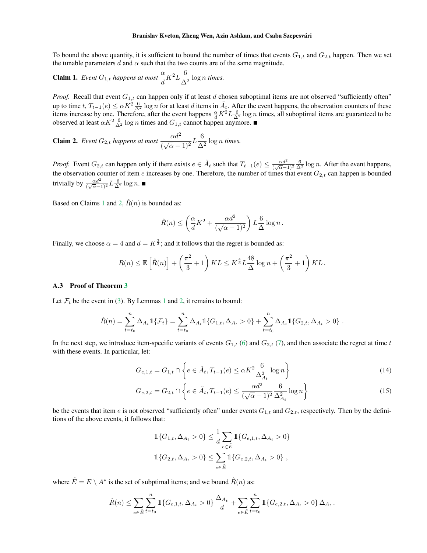To bound the above quantity, it is sufficient to bound the number of times that events  $G_{1,t}$  and  $G_{2,t}$  happen. Then we set the tunable parameters  $d$  and  $\alpha$  such that the two counts are of the same magnitude.

**Claim 1.** *Event* 
$$
G_{1,t}
$$
 *happens at most*  $\frac{\alpha}{d} K^2 L \frac{6}{\Delta^2} \log n$  *times.*

*Proof.* Recall that event  $G_{1,t}$  can happen only if at least *d* chosen suboptimal items are not observed "sufficiently often" up to time  $t, T_{t-1}(e) \le \alpha K^2 \frac{6}{\Delta^2} \log n$  for at least *d* items in  $\tilde{A}_t$ . After the event happens, the observation counters of these items increase by one. Therefore, after the event happens  $\frac{\alpha}{d} K^2 L \frac{6}{\Delta^2} \log n$  times, all suboptimal items are guaranteed to be observed at least  $\alpha K^2 \frac{6}{\Delta^2} \log n$  times and  $G_{1,t}$  cannot happen anymore.

**Claim 2.** Event  $G_{2,t}$  happens at most  $\frac{\alpha d^2}{(\sqrt{\alpha}-1)^2} L \frac{6}{\Delta^2} \log n$  times.

*Proof.* Event  $G_{2,t}$  can happen only if there exists  $e \in \tilde{A}_t$  such that  $T_{t-1}(e) \leq \frac{\alpha d^2}{(\sqrt{\alpha}-1)^2} \frac{6}{\Delta^2} \log n$ . After the event happens, the observation counter of item  $e$  increases by one. Therefore, the number of times that event  $G_{2,t}$  can happen is bounded trivially by  $\frac{\alpha d^2}{(\sqrt{\alpha}-1)^2} L \frac{6}{\Delta^2} \log n$ .

Based on Claims 1 and 2,  $\hat{R}(n)$  is bounded as:

$$
\hat{R}(n) \le \left(\frac{\alpha}{d}K^2 + \frac{\alpha d^2}{(\sqrt{\alpha} - 1)^2}\right) L \frac{6}{\Delta} \log n.
$$

Finally, we choose  $\alpha = 4$  and  $d = K^{\frac{2}{3}}$ ; and it follows that the regret is bounded as:

$$
R(n) \leq \mathbb{E}\left[\hat{R}(n)\right] + \left(\frac{\pi^2}{3} + 1\right)KL \leq K^{\frac{4}{3}}L\frac{48}{\Delta}\log n + \left(\frac{\pi^2}{3} + 1\right)KL.
$$

#### A.3 Proof of Theorem 3

Let  $\mathcal{F}_t$  be the event in (3). By Lemmas 1 and 2, it remains to bound:

$$
\hat{R}(n) = \sum_{t=t_0}^{n} \Delta_{A_t} 1\!\!1\{\mathcal{F}_t\} = \sum_{t=t_0}^{n} \Delta_{A_t} 1\!\!1\{G_{1,t}, \Delta_{A_t} > 0\} + \sum_{t=t_0}^{n} \Delta_{A_t} 1\!\!1\{G_{2,t}, \Delta_{A_t} > 0\}.
$$

In the next step, we introduce item-specific variants of events  $G_{1,t}$  (6) and  $G_{2,t}$  (7), and then associate the regret at time *t* with these events. In particular, let:

$$
G_{e,1,t} = G_{1,t} \cap \left\{ e \in \tilde{A}_t, T_{t-1}(e) \le \alpha K^2 \frac{6}{\Delta_{A_t}^2} \log n \right\}
$$
(14)

$$
G_{e,2,t} = G_{2,t} \cap \left\{ e \in \tilde{A}_t, T_{t-1}(e) \le \frac{\alpha d^2}{(\sqrt{\alpha} - 1)^2} \frac{6}{\Delta_{A_t}^2} \log n \right\}
$$
(15)

be the events that item *e* is not observed "sufficiently often" under events  $G_{1,t}$  and  $G_{2,t}$ , respectively. Then by the definitions of the above events, it follows that:

$$
1\{G_{1,t}, \Delta_{A_t} > 0\} \le \frac{1}{d} \sum_{e \in \tilde{E}} 1\{G_{e,1,t}, \Delta_{A_t} > 0\}
$$
  

$$
1\{G_{2,t}, \Delta_{A_t} > 0\} \le \sum_{e \in \tilde{E}} 1\{G_{e,2,t}, \Delta_{A_t} > 0\},
$$

where  $\tilde{E} = E \setminus A^*$  is the set of subptimal items; and we bound  $\hat{R}(n)$  as:

$$
\hat{R}(n) \leq \sum_{e \in \tilde{E}} \sum_{t=t_0}^n \mathbb{1}_{\{G_{e,1,t}, \Delta_{A_t} > 0\}} \frac{\Delta_{A_t}}{d} + \sum_{e \in \tilde{E}} \sum_{t=t_0}^n \mathbb{1}_{\{G_{e,2,t}, \Delta_{A_t} > 0\}} \Delta_{A_t}.
$$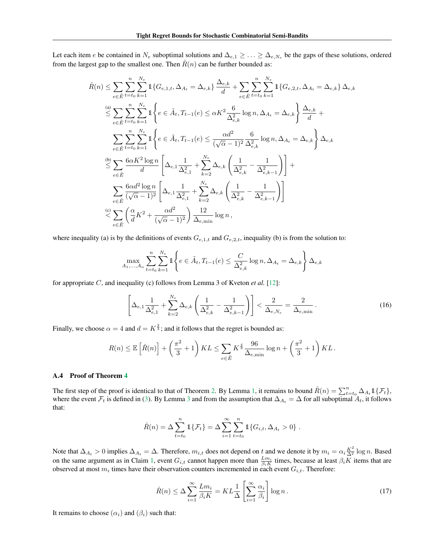Let each item *e* be contained in  $N_e$  suboptimal solutions and  $\Delta_{e,1} \geq \ldots \geq \Delta_{e,N_e}$  be the gaps of these solutions, ordered from the largest gap to the smallest one. Then  $\hat{R}(n)$  can be further bounded as:

$$
\hat{R}(n) \leq \sum_{e \in \tilde{E}} \sum_{t=t_0}^{n} \sum_{k=1}^{N_e} \mathbb{1} \{ G_{e,1,t}, \Delta_{A_t} = \Delta_{e,k} \} \frac{\Delta_{e,k}}{d} + \sum_{e \in \tilde{E}} \sum_{t=t_0}^{n} \sum_{k=1}^{N_e} \mathbb{1} \{ G_{e,2,t}, \Delta_{A_t} = \Delta_{e,k} \} \Delta_{e,k}
$$
\n
$$
\leq \sum_{e \in \tilde{E}} \sum_{t=t_0}^{n} \sum_{k=1}^{N_e} \mathbb{1} \left\{ e \in \tilde{A}_t, T_{t-1}(e) \leq \alpha K^2 \frac{6}{\Delta_{e,k}^2} \log n, \Delta_{A_t} = \Delta_{e,k} \right\} \frac{\Delta_{e,k}}{d} + \sum_{e \in \tilde{E}} \sum_{t=t_0}^{n} \sum_{k=1}^{N_e} \mathbb{1} \left\{ e \in \tilde{A}_t, T_{t-1}(e) \leq \frac{\alpha d^2}{(\sqrt{\alpha} - 1)^2} \frac{6}{\Delta_{e,k}^2} \log n, \Delta_{A_t} = \Delta_{e,k} \right\} \Delta_{e,k}
$$
\n
$$
\leq \sum_{e \in \tilde{E}} \frac{6\alpha K^2 \log n}{d} \left[ \Delta_{e,1} \frac{1}{\Delta_{e,1}^2} + \sum_{k=2}^{N_e} \Delta_{e,k} \left( \frac{1}{\Delta_{e,k}^2} - \frac{1}{\Delta_{e,k-1}^2} \right) \right] + \sum_{e \in \tilde{E}} \frac{6\alpha d^2 \log n}{(\sqrt{\alpha} - 1)^2} \left[ \Delta_{e,1} \frac{1}{\Delta_{e,1}^2} + \sum_{k=2}^{N_e} \Delta_{e,k} \left( \frac{1}{\Delta_{e,k}^2} - \frac{1}{\Delta_{e,k-1}^2} \right) \right]
$$
\n
$$
\leq \sum_{e \in \tilde{E}} \left( \frac{\alpha}{d} K^2 + \frac{\alpha d^2}{(\sqrt{\alpha} - 1)^2} \right) \frac{12}{\Delta_{e,\min}} \log n,
$$

where inequality (a) is by the definitions of events  $G_{e,1,t}$  and  $G_{e,2,t}$ , inequality (b) is from the solution to:

$$
\max_{A_1, ..., A_n} \sum_{t=t_0}^n \sum_{k=1}^{N_e} 1 \left\{ e \in \tilde{A}_t, T_{t-1}(e) \le \frac{C}{\Delta_{e,k}^2} \log n, \Delta_{A_t} = \Delta_{e,k} \right\} \Delta_{e,k}
$$

for appropriate *C*, and inequality (c) follows from Lemma 3 of Kveton *et al.* [12]:

$$
\left[\Delta_{e,1}\frac{1}{\Delta_{e,1}^2} + \sum_{k=2}^{N_e} \Delta_{e,k} \left(\frac{1}{\Delta_{e,k}^2} - \frac{1}{\Delta_{e,k-1}^2}\right)\right] < \frac{2}{\Delta_{e,N_e}} = \frac{2}{\Delta_{e,\min}}\,. \tag{16}
$$

Finally, we choose  $\alpha = 4$  and  $d = K^{\frac{2}{3}}$ ; and it follows that the regret is bounded as:

$$
R(n) \leq \mathbb{E}\left[\hat{R}(n)\right] + \left(\frac{\pi^2}{3} + 1\right)KL \leq \sum_{e \in \tilde{E}} K^{\frac{4}{3}} \frac{96}{\Delta_{e,\min}} \log n + \left(\frac{\pi^2}{3} + 1\right) KL.
$$

## A.4 Proof of Theorem 4

The first step of the proof is identical to that of Theorem 2. By Lemma 1, it remains to bound  $\hat{R}(n) = \sum_{t=t_0}^{n} \Delta_{A_t} 1\{\mathcal{F}_t\}$ , where the event  $\mathcal{F}_t$  is defined in (3). By Lemma 3 and from the assumption that  $\Delta_{A_t} = \Delta$  for all suboptimal  $A_t$ , it follows that:

$$
\hat{R}(n) = \Delta \sum_{t=t_0}^{n} 1\{\mathcal{F}_t\} = \Delta \sum_{i=1}^{\infty} \sum_{t=t_0}^{n} 1\{G_{i,t}, \Delta_{A_t} > 0\}.
$$

Note that  $\Delta_{A_t} > 0$  implies  $\Delta_{A_t} = \Delta$ . Therefore,  $m_{i,t}$  does not depend on  $t$  and we denote it by  $m_i = \alpha_i \frac{K^2}{\Delta^2} \log n$ . Based on the same argument as in Claim 1, event  $G_{i,t}$  cannot happen more than  $\frac{Lm_i}{\beta_i K}$  times, because at least  $\beta_i K$  items that are observed at most  $m_i$  times have their observation counters incremented in each event  $G_{i,t}$ . Therefore:

$$
\hat{R}(n) \le \Delta \sum_{i=1}^{\infty} \frac{L m_i}{\beta_i K} = KL \frac{1}{\Delta} \left[ \sum_{i=1}^{\infty} \frac{\alpha_i}{\beta_i} \right] \log n \,. \tag{17}
$$

It remains to choose  $(\alpha_i)$  and  $(\beta_i)$  such that: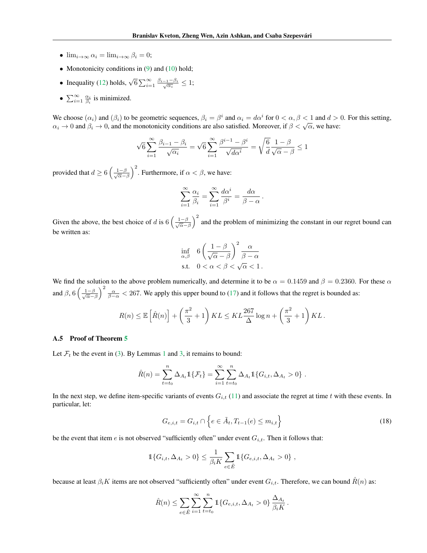- $\lim_{i \to \infty} \alpha_i = \lim_{i \to \infty} \beta_i = 0;$
- Monotonicity conditions in (9) and (10) hold;
- Inequality (12) holds,  $\sqrt{6} \sum_{i=1}^{\infty} \frac{\beta_{i-1} \beta_i}{\sqrt{\alpha_i}} \leq 1;$
- $\sum_{i=1}^{\infty} \frac{\alpha_i}{\beta_i}$  is minimized.

We choose  $(\alpha_i)$  and  $(\beta_i)$  to be geometric sequences,  $\beta_i = \beta^i$  and  $\alpha_i = d\alpha^i$  for  $0 < \alpha, \beta < 1$  and  $d > 0$ . For this setting,  $\alpha_i \to 0$  and  $\beta_i \to 0$ , and the monotonicity conditions are also satisfied. Moreover, if  $\beta < \sqrt{\alpha}$ , we have:

$$
\sqrt{6} \sum_{i=1}^{\infty} \frac{\beta_{i-1} - \beta_i}{\sqrt{\alpha_i}} = \sqrt{6} \sum_{i=1}^{\infty} \frac{\beta^{i-1} - \beta^i}{\sqrt{d\alpha^i}} = \sqrt{\frac{6}{d}} \frac{1 - \beta}{\sqrt{\alpha} - \beta} \le 1
$$

provided that  $d \geq 6 \left( \frac{1-\beta}{\sqrt{\alpha}} \right)$  $\overline{\alpha} - \beta$  $\int^2$ . Furthermore, if  $\alpha < \beta$ , we have:

$$
\sum_{i=1}^{\infty} \frac{\alpha_i}{\beta_i} = \sum_{i=1}^{\infty} \frac{d\alpha^i}{\beta^i} = \frac{d\alpha}{\beta - \alpha}.
$$

Given the above, the best choice of *d* is  $6\left(\frac{1-\beta}{\sqrt{n}}\right)$  $\alpha-\beta$  $\int_{0}^{2}$  and the problem of minimizing the constant in our regret bound can be written as:

$$
\inf_{\alpha,\beta} \quad 6 \left( \frac{1-\beta}{\sqrt{\alpha} - \beta} \right)^2 \frac{\alpha}{\beta - \alpha}
$$
\ns.t.

\n
$$
0 < \alpha < \beta < \sqrt{\alpha} < 1.
$$

We find the solution to the above problem numerically, and determine it to be  $\alpha = 0.1459$  and  $\beta = 0.2360$ . For these  $\alpha$ and  $\beta$ , 6  $\left(\frac{1-\beta}{\sqrt{\alpha}}\right)$  $\alpha-\beta$  $\int_{0}^{2} \frac{\alpha}{\beta - \alpha}$  < 267. We apply this upper bound to (17) and it follows that the regret is bounded as:

$$
R(n) \leq \mathbb{E}\left[\hat{R}(n)\right] + \left(\frac{\pi^2}{3} + 1\right)KL \leq KL\frac{267}{\Delta}\log n + \left(\frac{\pi^2}{3} + 1\right)KL.
$$

### A.5 Proof of Theorem 5

Let  $\mathcal{F}_t$  be the event in (3). By Lemmas 1 and 3, it remains to bound:

$$
\hat{R}(n) = \sum_{t=t_0}^{n} \Delta_{A_t} 1\!\!1 \{\mathcal{F}_t\} = \sum_{i=1}^{\infty} \sum_{t=t_0}^{n} \Delta_{A_t} 1\!\!1 \{G_{i,t}, \Delta_{A_t} > 0\}.
$$

In the next step, we define item-specific variants of events  $G_{i,t}$  (11) and associate the regret at time  $t$  with these events. In particular, let:

$$
G_{e,i,t} = G_{i,t} \cap \left\{ e \in \tilde{A}_t, T_{t-1}(e) \le m_{i,t} \right\}
$$
\n(18)

be the event that item  $e$  is not observed "sufficiently often" under event  $G_{i,t}$ . Then it follows that:

$$
\mathbb{1}\{G_{i,t}, \Delta_{A_t} > 0\} \le \frac{1}{\beta_i K} \sum_{e \in \tilde{E}} \mathbb{1}\{G_{e,i,t}, \Delta_{A_t} > 0\},\,
$$

because at least  $\beta_i K$  items are not observed "sufficiently often" under event  $G_{i,t}$ . Therefore, we can bound  $\hat{R}(n)$  as:

$$
\hat{R}(n) \le \sum_{e \in \tilde{E}} \sum_{i=1}^{\infty} \sum_{t=t_0}^{n} 1\{G_{e,i,t}, \Delta_{A_t} > 0\} \frac{\Delta_{A_t}}{\beta_i K}.
$$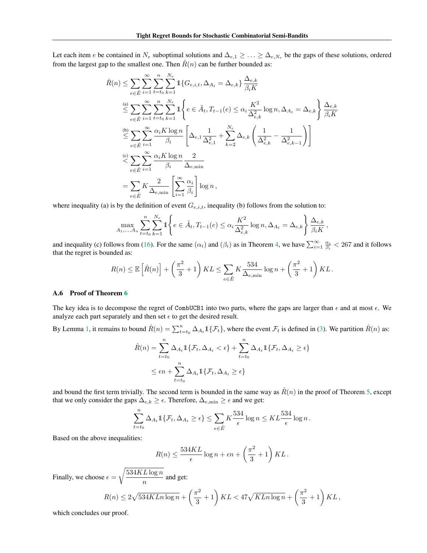Let each item *e* be contained in  $N_e$  suboptimal solutions and  $\Delta_{e,1} \geq \ldots \geq \Delta_{e,N_e}$  be the gaps of these solutions, ordered from the largest gap to the smallest one. Then  $R(n)$  can be further bounded as:

$$
\hat{R}(n) \leq \sum_{e \in \tilde{E}} \sum_{i=1}^{\infty} \sum_{t=t_0}^{n} \sum_{k=1}^{N_e} \mathbb{1} \{ G_{e,i,t}, \Delta_{A_t} = \Delta_{e,k} \} \frac{\Delta_{e,k}}{\beta_i K}
$$
\n
$$
\leq \sum_{e \in \tilde{E}} \sum_{i=1}^{\infty} \sum_{t=t_0}^{n} \sum_{k=1}^{N_e} \mathbb{1} \left\{ e \in \tilde{A}_t, T_{t-1}(e) \leq \alpha_i \frac{K^2}{\Delta_{e,k}^2} \log n, \Delta_{A_t} = \Delta_{e,k} \right\} \frac{\Delta_{e,k}}{\beta_i K}
$$
\n
$$
\leq \sum_{e \in \tilde{E}} \sum_{i=1}^{\infty} \frac{\alpha_i K \log n}{\beta_i} \left[ \Delta_{e,1} \frac{1}{\Delta_{e,1}^2} + \sum_{k=2}^{N_e} \Delta_{e,k} \left( \frac{1}{\Delta_{e,k}^2} - \frac{1}{\Delta_{e,k-1}^2} \right) \right]
$$
\n
$$
\leq \sum_{e \in \tilde{E}} \sum_{i=1}^{\infty} \frac{\alpha_i K \log n}{\beta_i} \frac{2}{\Delta_{e,\min}}
$$
\n
$$
= \sum_{e \in \tilde{E}} K \frac{2}{\Delta_{e,\min}} \left[ \sum_{i=1}^{\infty} \frac{\alpha_i}{\beta_i} \right] \log n,
$$

where inequality (a) is by the definition of event  $G_{e,i,t}$ , inequality (b) follows from the solution to:

$$
\max_{A_1,...,A_n} \sum_{t=t_0}^n \sum_{k=1}^{N_e} 1 \left\{ e \in \tilde{A}_t, T_{t-1}(e) \le \alpha_i \frac{K^2}{\Delta_{e,k}^2} \log n, \Delta_{A_t} = \Delta_{e,k} \right\} \frac{\Delta_{e,k}}{\beta_i K},
$$

and inequality (c) follows from (16). For the same  $(\alpha_i)$  and  $(\beta_i)$  as in Theorem 4, we have  $\sum_{i=1}^{\infty} \frac{\alpha_i}{\beta_i} < 267$  and it follows that the regret is bounded as:

$$
R(n) \leq \mathbb{E}\left[\hat{R}(n)\right] + \left(\frac{\pi^2}{3} + 1\right)KL \leq \sum_{e \in \tilde{E}} K \frac{534}{\Delta_{e,\min}} \log n + \left(\frac{\pi^2}{3} + 1\right)KL.
$$

#### A.6 Proof of Theorem 6

The key idea is to decompose the regret of CombUCB1 into two parts, where the gaps are larger than  $\epsilon$  and at most  $\epsilon$ . We analyze each part separately and then set  $\epsilon$  to get the desired result.

By Lemma 1, it remains to bound  $\hat{R}(n) = \sum_{t=t_0}^{n} \Delta_{A_t} 1\{\mathcal{F}_t\}$ , where the event  $\mathcal{F}_t$  is defined in (3). We partition  $\hat{R}(n)$  as:

$$
\hat{R}(n) = \sum_{t=t_0}^{n} \Delta_{A_t} \mathbb{1}\{\mathcal{F}_t, \Delta_{A_t} < \epsilon\} + \sum_{t=t_0}^{n} \Delta_{A_t} \mathbb{1}\{\mathcal{F}_t, \Delta_{A_t} \ge \epsilon\}
$$
\n
$$
\le \epsilon n + \sum_{t=t_0}^{n} \Delta_{A_t} \mathbb{1}\{\mathcal{F}_t, \Delta_{A_t} \ge \epsilon\}
$$

and bound the first term trivially. The second term is bounded in the same way as  $\hat{R}(n)$  in the proof of Theorem 5, except that we only consider the gaps  $\Delta_{e,k} \geq \epsilon$ . Therefore,  $\Delta_{e,\text{min}} \geq \epsilon$  and we get:

$$
\sum_{t=t_0}^n \Delta_{A_t} \mathbb{1}\{\mathcal{F}_t, \Delta_{A_t} \geq \epsilon\} \leq \sum_{e \in \tilde{E}} K \frac{534}{\epsilon} \log n \leq KL \frac{534}{\epsilon} \log n.
$$

Based on the above inequalities:

$$
R(n) \le \frac{534KL}{\epsilon} \log n + \epsilon n + \left(\frac{\pi^2}{3} + 1\right) KL.
$$

Finally, we choose  $\epsilon = \sqrt{\frac{534KL\log n}{n}}$  $\frac{2 \log n}{n}$  and get:

$$
R(n) \le 2\sqrt{534KLn\log n} + \left(\frac{\pi^2}{3} + 1\right)KL < 47\sqrt{KLn\log n} + \left(\frac{\pi^2}{3} + 1\right)KL,
$$

which concludes our proof.